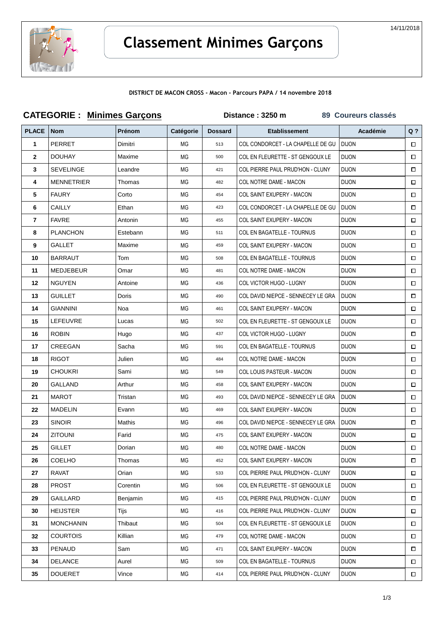

## **Classement Minimes Garçons**

## **DISTRICT DE MACON CROSS - Macon - Parcours PAPA / 14 novembre 2018**

| <b>CATEGORIE: Minimes Garçons</b> |                   |               |           | Distance: 3250 m | 89 Coureurs classés                |              |        |
|-----------------------------------|-------------------|---------------|-----------|------------------|------------------------------------|--------------|--------|
| <b>PLACE</b>                      | Nom               | <b>Prénom</b> | Catégorie | <b>Dossard</b>   | <b>Etablissement</b>               | Académie     | $Q$ ?  |
| 1                                 | PERRET            | Dimitri       | МG        | 513              | COL CONDORCET - LA CHAPELLE DE GU  | <b>DIJON</b> | $\Box$ |
| $\mathbf{2}$                      | <b>DOUHAY</b>     | Maxime        | МG        | 500              | COL EN FLEURETTE - ST GENGOUX LE   | <b>DIJON</b> | $\Box$ |
| 3                                 | <b>SEVELINGE</b>  | Leandre       | МG        | 421              | COL PIERRE PAUL PRUD'HON - CLUNY   | <b>DIJON</b> | $\Box$ |
| 4                                 | <b>MENNETRIER</b> | Thomas        | МG        | 482              | COL NOTRE DAME - MACON             | <b>DIJON</b> | $\Box$ |
| 5                                 | <b>FAURY</b>      | Corto         | MG        | 454              | COL SAINT EXUPERY - MACON          | <b>DIJON</b> | $\Box$ |
| 6                                 | CAILLY            | Ethan         | МG        | 423              | COL CONDORCET - LA CHAPELLE DE GU  | <b>DIJON</b> | $\Box$ |
| 7                                 | <b>FAVRE</b>      | Antonin       | МG        | 455              | COL SAINT EXUPERY - MACON          | <b>DIJON</b> | □      |
| 8                                 | <b>PLANCHON</b>   | Estebann      | МG        | 511              | COL EN BAGATELLE - TOURNUS         | <b>DIJON</b> | $\Box$ |
| 9                                 | GALLET            | Maxime        | МG        | 459              | COL SAINT EXUPERY - MACON          | <b>DIJON</b> | $\Box$ |
| 10                                | <b>BARRAUT</b>    | Tom           | MG        | 508              | COL EN BAGATELLE - TOURNUS         | <b>DIJON</b> | $\Box$ |
| 11                                | <b>MEDJEBEUR</b>  | Omar          | MG        | 481              | COL NOTRE DAME - MACON             | <b>DIJON</b> | $\Box$ |
| 12                                | <b>NGUYEN</b>     | Antoine       | МG        | 436              | COL VICTOR HUGO - LUGNY            | <b>DIJON</b> | □      |
| 13                                | <b>GUILLET</b>    | Doris         | МG        | 490              | COL DAVID NIEPCE - SENNECEY LE GRA | <b>DIJON</b> | $\Box$ |
| 14                                | <b>GIANNINI</b>   | Noa           | МG        | 461              | COL SAINT EXUPERY - MACON          | <b>DIJON</b> | $\Box$ |
| 15                                | LEFEUVRE          | Lucas         | МG        | 502              | COL EN FLEURETTE - ST GENGOUX LE   | <b>DIJON</b> | □      |
| 16                                | <b>ROBIN</b>      | Hugo          | МG        | 437              | COL VICTOR HUGO - LUGNY            | <b>DIJON</b> | $\Box$ |
| 17                                | CREEGAN           | Sacha         | MG        | 591              | COL EN BAGATELLE - TOURNUS         | <b>DIJON</b> | □      |
| 18                                | <b>RIGOT</b>      | Julien        | МG        | 484              | COL NOTRE DAME - MACON             | <b>DIJON</b> | $\Box$ |
| 19                                | <b>CHOUKRI</b>    | Sami          | МG        | 549              | COL LOUIS PASTEUR - MACON          | <b>DIJON</b> | 0      |
| 20                                | GALLAND           | Arthur        | МG        | 458              | COL SAINT EXUPERY - MACON          | <b>DIJON</b> | □      |
| 21                                | <b>MAROT</b>      | Tristan       | МG        | 493              | COL DAVID NIEPCE - SENNECEY LE GRA | <b>DIJON</b> | $\Box$ |
| 22                                | <b>MADELIN</b>    | Evann         | МG        | 469              | <b>COL SAINT EXUPERY - MACON</b>   | <b>DIJON</b> | $\Box$ |
| 23                                | <b>SINOIR</b>     | Mathis        | MG        | 496              | COL DAVID NIEPCE - SENNECEY LE GRA | <b>DIJON</b> | □      |
| 24                                | <b>ZITOUNI</b>    | Farid         | МG        | 475              | COL SAINT EXUPERY - MACON          | <b>DIJON</b> | $\Box$ |
| 25                                | <b>GILLET</b>     | Dorian        | МG        | 480              | COL NOTRE DAME - MACON             | <b>DIJON</b> | □      |
| 26                                | <b>COELHO</b>     | Thomas        | МG        | 452              | COL SAINT EXUPERY - MACON          | <b>DIJON</b> | □      |
| 27                                | <b>RAVAT</b>      | Orian         | МG        | 533              | COL PIERRE PAUL PRUD'HON - CLUNY   | <b>DIJON</b> | $\Box$ |
| 28                                | <b>PROST</b>      | Corentin      | МG        | 506              | COL EN FLEURETTE - ST GENGOUX LE   | <b>DIJON</b> | □      |
| 29                                | <b>GAILLARD</b>   | Benjamin      | МG        | 415              | COL PIERRE PAUL PRUD'HON - CLUNY   | <b>DIJON</b> | □      |
| 30                                | <b>HEIJSTER</b>   | Tijs          | МG        | 416              | COL PIERRE PAUL PRUD'HON - CLUNY   | <b>DIJON</b> | $\Box$ |
| 31                                | <b>MONCHANIN</b>  | Thibaut       | МG        | 504              | COL EN FLEURETTE - ST GENGOUX LE   | <b>DIJON</b> | $\Box$ |
| 32                                | <b>COURTOIS</b>   | Killian       | МG        | 479              | COL NOTRE DAME - MACON             | <b>DIJON</b> | $\Box$ |
| 33                                | PENAUD            | Sam           | МG        | 471              | COL SAINT EXUPERY - MACON          | <b>DIJON</b> | $\Box$ |
| 34                                | <b>DELANCE</b>    | Aurel         | МG        | 509              | COL EN BAGATELLE - TOURNUS         | <b>DIJON</b> | $\Box$ |
| 35                                | <b>DOUERET</b>    | Vince         | МG        | 414              | COL PIERRE PAUL PRUD'HON - CLUNY   | <b>DIJON</b> | $\Box$ |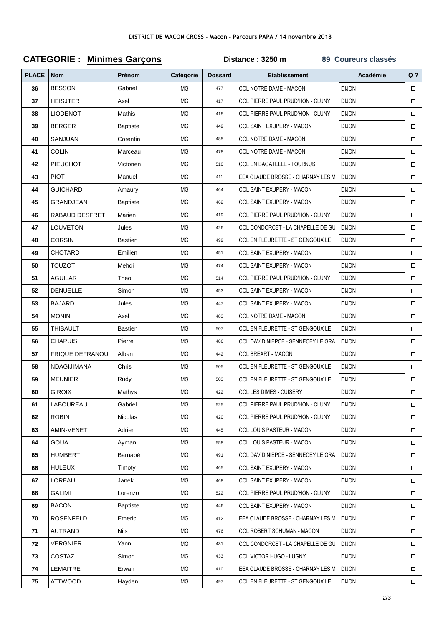| <b>PLACE</b> | <b>Nom</b>             | Prénom          | Catégorie | <b>Dossard</b> | <b>Etablissement</b>               | <b>Académie</b> | $Q$ ?  |
|--------------|------------------------|-----------------|-----------|----------------|------------------------------------|-----------------|--------|
| 36           | <b>BESSON</b>          | Gabriel         | ΜG        | 477            | COL NOTRE DAME - MACON             | <b>DIJON</b>    | $\Box$ |
| 37           | <b>HEISJTER</b>        | Axel            | ΜG        | 417            | COL PIERRE PAUL PRUD'HON - CLUNY   | <b>DIJON</b>    | $\Box$ |
| 38           | <b>LIODENOT</b>        | Mathis          | ΜG        | 418            | COL PIERRE PAUL PRUD'HON - CLUNY   | <b>DIJON</b>    | $\Box$ |
| 39           | <b>BERGER</b>          | <b>Baptiste</b> | ΜG        | 449            | COL SAINT EXUPERY - MACON          | <b>DIJON</b>    | $\Box$ |
| 40           | SANJUAN                | Corentin        | MG        | 485            | COL NOTRE DAME - MACON             | <b>DIJON</b>    | $\Box$ |
| 41           | <b>COLIN</b>           | Marceau         | <b>MG</b> | 478            | COL NOTRE DAME - MACON             | <b>DIJON</b>    | $\Box$ |
| 42           | PIEUCHOT               | Victorien       | ΜG        | 510            | COL EN BAGATELLE - TOURNUS         | <b>DIJON</b>    | $\Box$ |
| 43           | <b>PIOT</b>            | Manuel          | ΜG        | 411            | EEA CLAUDE BROSSE - CHARNAY LES M  | <b>DIJON</b>    | $\Box$ |
| 44           | <b>GUICHARD</b>        | Amaury          | <b>MG</b> | 464            | COL SAINT EXUPERY - MACON          | <b>DIJON</b>    | $\Box$ |
| 45           | GRANDJEAN              | <b>Baptiste</b> | ΜG        | 462            | COL SAINT EXUPERY - MACON          | <b>DIJON</b>    | $\Box$ |
| 46           | RABAUD DESFRETI        | Marien          | <b>MG</b> | 419            | COL PIERRE PAUL PRUD'HON - CLUNY   | <b>DIJON</b>    | $\Box$ |
| 47           | <b>LOUVETON</b>        | Jules           | <b>MG</b> | 426            | COL CONDORCET - LA CHAPELLE DE GU  | <b>DIJON</b>    | $\Box$ |
| 48           | CORSIN                 | <b>Bastien</b>  | ΜG        | 499            | COL EN FLEURETTE - ST GENGOUX LE   | <b>DIJON</b>    | $\Box$ |
| 49           | CHOTARD                | Emilien         | ΜG        | 451            | <b>COL SAINT EXUPERY - MACON</b>   | <b>DIJON</b>    | $\Box$ |
| 50           | <b>TOUZOT</b>          | Mehdi           | ΜG        | 474            | COL SAINT EXUPERY - MACON          | <b>DIJON</b>    | $\Box$ |
| 51           | <b>AGUILAR</b>         | Theo            | ΜG        | 514            | COL PIERRE PAUL PRUD'HON - CLUNY   | <b>DIJON</b>    | $\Box$ |
| 52           | <b>DENUELLE</b>        | Simon           | <b>MG</b> | 453            | COL SAINT EXUPERY - MACON          | <b>DIJON</b>    | $\Box$ |
| 53           | <b>BAJARD</b>          | Jules           | <b>MG</b> | 447            | COL SAINT EXUPERY - MACON          | <b>DIJON</b>    | □      |
| 54           | <b>MONIN</b>           | Axel            | ΜG        | 483            | COL NOTRE DAME - MACON             | <b>DIJON</b>    | $\Box$ |
| 55           | THIBAULT               | <b>Bastien</b>  | ΜG        | 507            | COL EN FLEURETTE - ST GENGOUX LE   | <b>DIJON</b>    | $\Box$ |
| 56           | <b>CHAPUIS</b>         | Pierre          | ΜG        | 486            | COL DAVID NIEPCE - SENNECEY LE GRA | <b>DIJON</b>    | □      |
| 57           | <b>FRIQUE DEFRANOU</b> | Alban           | ΜG        | 442            | <b>COL BREART - MACON</b>          | <b>DIJON</b>    | $\Box$ |
| 58           | <b>NDAGIJIMANA</b>     | Chris           | <b>MG</b> | 505            | COL EN FLEURETTE - ST GENGOUX LE   | <b>DIJON</b>    | $\Box$ |
| 59           | <b>MEUNIER</b>         | Rudy            | <b>MG</b> | 503            | COL EN FLEURETTE - ST GENGOUX LE   | <b>DIJON</b>    | $\Box$ |
| 60           | <b>GIROIX</b>          | Mathys          | <b>MG</b> | 422            | COL LES DIMES - CUISERY            | <b>DIJON</b>    | $\Box$ |
| 61           | LABOUREAU              | Gabriel         | МG        | 525            | COL PIERRE PAUL PRUD'HON - CLUNY   | <b>DIJON</b>    | $\Box$ |
| 62           | <b>ROBIN</b>           | Nicolas         | МG        | 420            | COL PIERRE PAUL PRUD'HON - CLUNY   | <b>DIJON</b>    | $\Box$ |
| 63           | AMIN-VENET             | Adrien          | МG        | 445            | <b>COL LOUIS PASTEUR - MACON</b>   | <b>DIJON</b>    | $\Box$ |
| 64           | <b>GOUA</b>            | Ayman           | МG        | 558            | COL LOUIS PASTEUR - MACON          | <b>DIJON</b>    | $\Box$ |
| 65           | <b>HUMBERT</b>         | Barnabé         | МG        | 491            | COL DAVID NIEPCE - SENNECEY LE GRA | <b>DIJON</b>    | $\Box$ |
| 66           | <b>HULEUX</b>          | Timoty          | МG        | 465            | COL SAINT EXUPERY - MACON          | <b>DIJON</b>    | $\Box$ |
| 67           | LOREAU                 | Janek           | МG        | 468            | <b>COL SAINT EXUPERY - MACON</b>   | <b>DIJON</b>    | $\Box$ |
| 68           | GALIMI                 | Lorenzo         | МG        | 522            | COL PIERRE PAUL PRUD'HON - CLUNY   | <b>DIJON</b>    |        |
| 69           | <b>BACON</b>           | <b>Baptiste</b> | МG        | 446            | COL SAINT EXUPERY - MACON          | <b>DIJON</b>    | $\Box$ |
| 70           | <b>ROSENFELD</b>       | Emeric          | МG        | 412            | EEA CLAUDE BROSSE - CHARNAY LES M  | <b>DIJON</b>    | $\Box$ |
| 71           | <b>AUTRAND</b>         | <b>Nils</b>     | МG        | 476            | COL ROBERT SCHUMAN - MACON         | <b>DIJON</b>    | $\Box$ |
| 72           | VERGNIER               | Yann            | МG        | 431            | COL CONDORCET - LA CHAPELLE DE GU  | <b>DIJON</b>    | $\Box$ |
| 73           | COSTAZ                 | Simon           | МG        | 433            | COL VICTOR HUGO - LUGNY            | <b>DIJON</b>    | $\Box$ |
| 74           | LEMAITRE               | Erwan           | МG        | 410            | EEA CLAUDE BROSSE - CHARNAY LES M  | <b>DIJON</b>    | $\Box$ |
| 75           | <b>ATTWOOD</b>         | Hayden          | MG        | 497            | COL EN FLEURETTE - ST GENGOUX LE   | <b>DIJON</b>    | $\Box$ |

## **CATEGORIE : Minimes Garçons Distance : 3250 m 89 Coureurs classés**